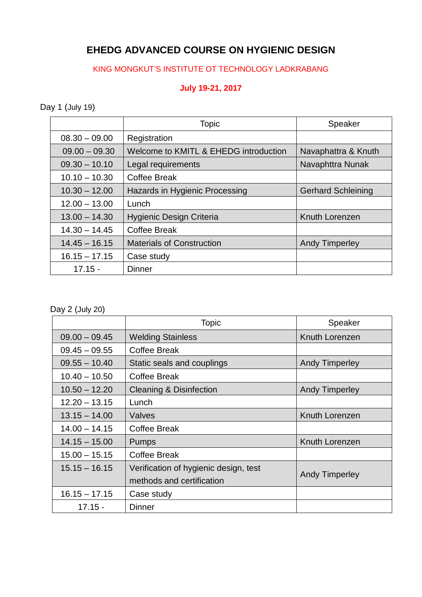## **EHEDG ADVANCED COURSE ON HYGIENIC DESIGN**

## KING MONGKUT'S INSTITUTE OT TECHNOLOGY LADKRABANG

## **July 19-21, 2017**

Day 1 (July 19)

|                 | <b>Topic</b>                          | Speaker                   |  |
|-----------------|---------------------------------------|---------------------------|--|
| $08.30 - 09.00$ | Registration                          |                           |  |
| $09.00 - 09.30$ | Welcome to KMITL & EHEDG introduction | Navaphattra & Knuth       |  |
| $09.30 - 10.10$ | Legal requirements                    | Navaphttra Nunak          |  |
| $10.10 - 10.30$ | <b>Coffee Break</b>                   |                           |  |
| $10.30 - 12.00$ | Hazards in Hygienic Processing        | <b>Gerhard Schleining</b> |  |
| $12.00 - 13.00$ | Lunch                                 |                           |  |
| $13.00 - 14.30$ | <b>Hygienic Design Criteria</b>       | Knuth Lorenzen            |  |
| $14.30 - 14.45$ | <b>Coffee Break</b>                   |                           |  |
| $14.45 - 16.15$ | <b>Materials of Construction</b>      | <b>Andy Timperley</b>     |  |
| $16.15 - 17.15$ | Case study                            |                           |  |
| $17.15 -$       | <b>Dinner</b>                         |                           |  |

Day 2 (July 20)

|                 | <b>Topic</b>                          | Speaker               |  |
|-----------------|---------------------------------------|-----------------------|--|
| $09.00 - 09.45$ | <b>Welding Stainless</b>              | Knuth Lorenzen        |  |
| $09.45 - 09.55$ | Coffee Break                          |                       |  |
| $09.55 - 10.40$ | Static seals and couplings            | <b>Andy Timperley</b> |  |
| $10.40 - 10.50$ | Coffee Break                          |                       |  |
| $10.50 - 12.20$ | <b>Cleaning &amp; Disinfection</b>    | <b>Andy Timperley</b> |  |
| $12.20 - 13.15$ | Lunch                                 |                       |  |
| $13.15 - 14.00$ | Valves                                | Knuth Lorenzen        |  |
| $14.00 - 14.15$ | Coffee Break                          |                       |  |
| $14.15 - 15.00$ | <b>Pumps</b>                          | Knuth Lorenzen        |  |
| $15.00 - 15.15$ | Coffee Break                          |                       |  |
| $15.15 - 16.15$ | Verification of hygienic design, test |                       |  |
|                 | methods and certification             | Andy Timperley        |  |
| $16.15 - 17.15$ | Case study                            |                       |  |
| $17.15 -$       | Dinner                                |                       |  |